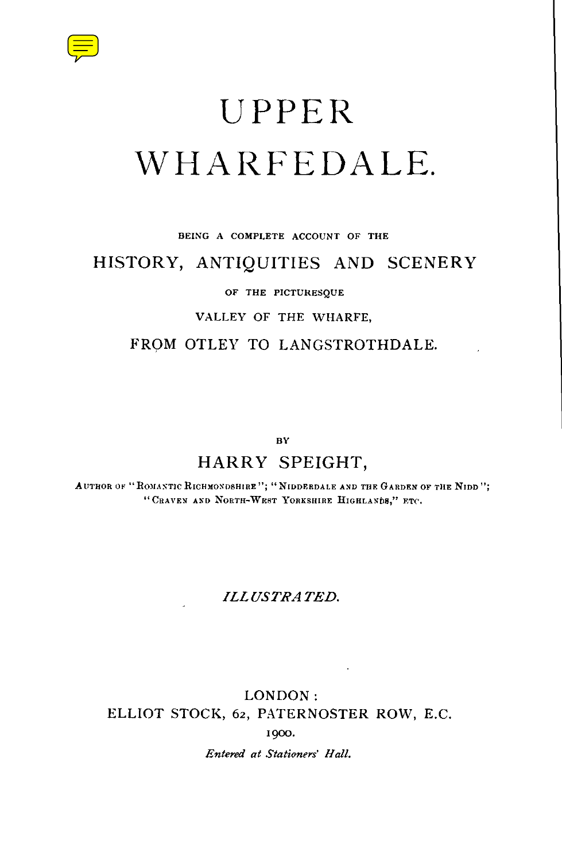

# UPPER WHARFEDALE.

#### **BEING A COMPLETE ACCOUNT OF THE**

## HISTORY, ANTIQUITIES AND SCENERY

#### **OF THE PICTURESQUE**

#### **VALLEY OF THE WHARFE,**

## FROM OTLEY TO LANGSTROTHDALE.

**BY**

## HARRY SPEIGHT,

AUTHOR OF "ROMANTIC RICHMONDSHIRE"; "NIDDERDALE AND THE GARDEN OF THE NIDD"; " CRAVEN AND NORTH-WEST YORKSHIRE HIGHLANDS, " ETC.

### *ILLUSTRATED.*

LONDON: ELLIOT STOCK, 62, PATERNOSTER ROW, E.C. 1900. *Entered at Stationers' Hall.*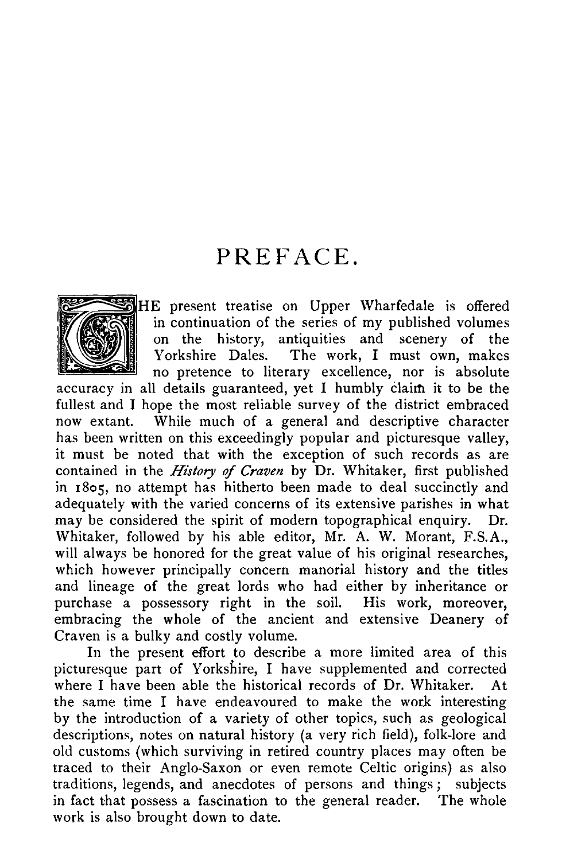## PREFACE.



HE present treatise on Upper Wharfedale is offered in continuation of the series of my published volumes on the history, antiquities and scenery of the Yorkshire Dales. The work, I must own, makes The work, I must own, makes no pretence to literary excellence, nor is absolute

accuracy in all details guaranteed, yet I humbly claim it to be the fullest and I hope the most reliable survey of the district embraced now extant. While much of a general and descriptive character has been written on this exceedingly popular and picturesque valley, it must be noted that with the exception of such records as are contained in the History of Craven by Dr. Whitaker, first published in 18o5, no attempt has hitherto been made to deal succinctly and adequately with the varied concerns of its extensive parishes in what may be considered the spirit of modern topographical enquiry. Whitaker, followed by his able editor, Mr. A. W. Morant, F.S.A ., will always be honored for the great value of his original researches, which however principally concern manorial history and the titles and lineage of the great lords who had either by inheritance or purchase a possessory right in the soil. His work, moreover, embracing the whole of the ancient and extensive Deanery of Craven is a bulky and costly volume.

In the present effort to describe a more limited area of this picturesque part of Yorkshire, I have supplemented and corrected where I have been able the historical records of Dr. Whitaker. At the same time I have endeavoured to make the work interesting by the introduction of a variety of other topics, such as geological descriptions, notes on natural history (a very rich field), folk-lore and old customs (which surviving in retired country places may often be traced to their Anglo-Saxon or even remote Celtic origins) as also traditions, legends, and anecdotes of persons and things ; subjects in fact that possess a fascination to the general reader. The whole work is also brought down to date.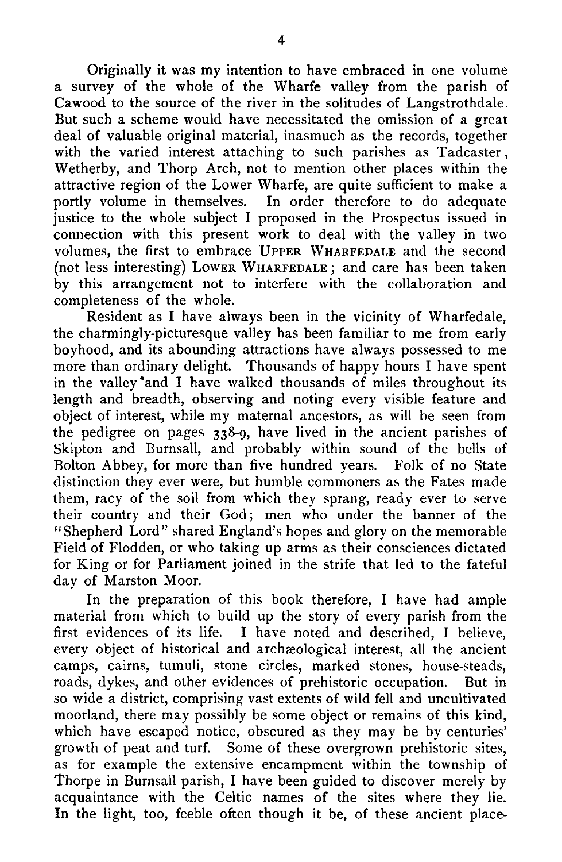Originally it was my intention to have embraced in one volume a survey of the whole of the Wharfe valley from the parish of Cawood to the source of the river in the solitudes of Langstrothdale. But such a scheme would have necessitated the omission of a great deal of valuable original material, inasmuch as the records, together with the varied interest attaching to such parishes as Tadcaster, Wetherby, and Thorp Arch, not to mention other places within the attractive region of the Lower Wharfe, are quite sufficient to make a portly volume in themselves. In order therefore to do adequate justice to the whole subject I proposed in the Prospectus issued in connection with this present work to deal with the valley in two volumes, the first to embrace UPPER WHARFEDALE and the second (not less interesting) LOWER WHARFEDALE ; and care has been taken by this arrangement not to interfere with the collaboration and completeness of the whole.

Resident as I have always been in the vicinity of Wharfedale, the charmingly-picturesque valley has been familiar to me from early boyhood, and its abounding attractions have always possessed to me more than ordinary delight. Thousands of happy hours I have spent in the valley and I have walked thousands of miles throughout its length and breadth, observing and noting every visible feature and object of interest, while my maternal ancestors, as will be seen from the pedigree on pages 338-9, have lived in the ancient parishes of Skipton and Burnsall, and probably within sound of the bells of Bolton Abbey, for more than five hundred years. Folk of no State distinction they ever were, but humble commoners as the Fates made them, racy of the soil from which they sprang, ready ever to serve their country and their God; men who under the banner of the "Shepherd Lord" shared England's hopes and glory on the memorable Field of Flodden, or who taking up arms as their consciences dictated for King or for Parliament joined in the strife that led to the fateful day of Marston Moor.

In the preparation of this book therefore, I have had ample material from which to build up the story of every parish from the first evidences of its life. I have noted and described, I believe, every object of historical and archaeological interest, all the ancient camps, cairns, tumuli, stone circles, marked stones, house-steads, roads, dykes, and other evidences of prehistoric occupation. But in so wide a district, comprising vast extents of wild fell and uncultivated moorland, there may possibly be some object or remains of this kind, which have escaped notice, obscured as they may be by centuries' growth of peat and turf. Some of these overgrown prehistoric sites, as for example the extensive encampment within the township of Thorpe in Burnsall parish, I have been guided to discover merely by acquaintance with the Celtic names of the sites where they lie. In the light, too, feeble often though it be, of these ancient place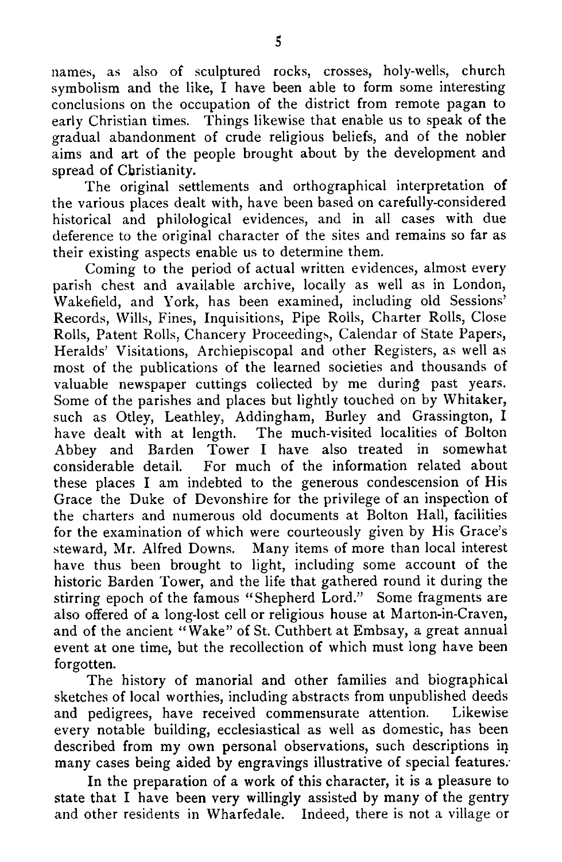names, as also of sculptured rocks, crosses, holy-wells, church symbolism and the like, I have been able to form some interesting conclusions on the occupation of the district from remote pagan to early Christian times. Things likewise that enable us to speak of the gradual abandonment of crude religious beliefs, and of the nobler aims and art of the people brought about by the development and spread of Christianity.

The original settlements and orthographical interpretation of the various places dealt with, have been based on carefully-considered historical and philological evidences, and in all cases with due deference to the original character of the sites and remains so far as their existing aspects enable us to determine them.

Coming to the period of actual written evidences, almost every parish chest and available archive, locally as well as in London, Wakefield, and York, has been examined, including old Sessions' Records, Wills, Fines, Inquisitions, Pipe Rolls, Charter Rolls, Close Rolls, Patent Rolls, Chancery Proceedings, Calendar of State Papers, Heralds' Visitations, Archiepiscopal and other Registers, as well as most of the publications of the learned societies and thousands of valuable newspaper cuttings collected by me during past years. Some of the parishes and places but lightly touched on by Whitaker, such as Otley, Leathley, Addingham, Burley and Grassington, I have dealt with at length. The much-visited localities of Bolton Abbey and Barden Tower I have also treated in somewhat considerable detail. For much of the information related about For much of the information related about these places I am indebted to the generous condescension of His Grace the Duke of Devonshire for the privilege of an inspection of the charters and numerous old documents at Bolton Hall, facilities for the examination of which were courteously given by His Grace's steward, Mr. Alfred Downs. Many items of more than local interest have thus been brought to light, including some account of the historic Barden Tower, and the life that gathered round it during the stirring epoch of the famous "Shepherd Lord." Some fragments are also offered of a long-lost cell or religious house at Marton-in-Craven, and of the ancient "Wake" of St. Cuthbert at Embsay, a great annual event at one time, but the recollection of which must long have been forgotten.

The history of manorial and other families and biographical sketches of local worthies, including abstracts from unpublished deeds<br>and pedigrees, have received commensurate attention. Likewise and pedigrees, have received commensurate attention. every notable building, ecclesiastical as well as domestic, has been described from my own personal observations, such descriptions in many cases being aided by engravings illustrative of special features:

In the preparation of a work of this character, it is a pleasure to state that I have been very willingly assisted by many of the gentry and other residents in Wharfedale. Indeed, there is not a village or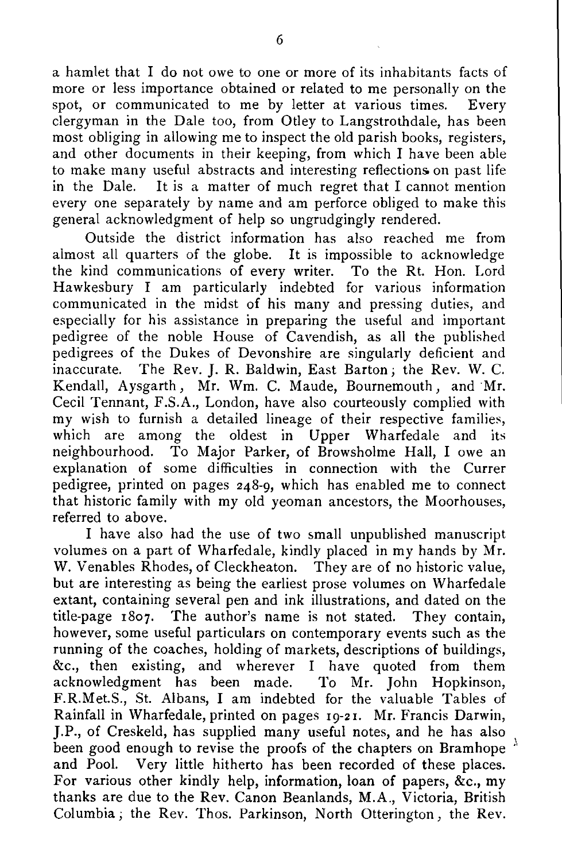a hamlet that I do not owe to one or more of its inhabitants facts of more or less importance obtained or related to me personally on the spot, or communicated to me by letter at various times. Every clergyman in the Dale too, from Otley to Langstrothdale, has been most obliging in allowing me to inspect the old parish books, registers, and other documents in their keeping, from which I have been able to make many useful abstracts and interesting reflections on past life<br>in the Dale. It is a matter of much regret that I cannot mention It is a matter of much regret that I cannot mention every one separately by name and am perforce obliged to make this general acknowledgment of help so ungrudgingly rendered.

Outside the district information has also reached me from almost all quarters of the globe. It is impossible to acknowledge the kind communications of every writer. To the Rt. Hon. Lord Hawkesbury I am particularly indebted for various information communicated in the midst of his many and pressing duties, and especially for his assistance in preparing the useful and important pedigree of the noble House of Cavendish, as all the published pedigrees of the Dukes of Devonshire are singularly deficient and inaccurate. The Rev. J. R. Baldwin, East Barton; the Rev. W. C. Kendall, Aysgarth, Mr. Wm. C. Maude, Bournemouth, and Mr. Cecil Tennant, F.S.A ., London, have also courteously complied with my wish to furnish a detailed lineage of their respective families, which are among the oldest in Upper Wharfedale and its neighbourhood. To Major Parker, of Browsholme Hall, I owe an explanation of some difficulties in connection with the Currer pedigree, printed on pages 248-9, which has enabled me to connect that historic family with my old yeoman ancestors, the Moorhouses, referred to above.

I have also had the use of two small unpublished manuscript volumes on a part of Wharfedale, kindly placed in my hands by Mr. W. Venables Rhodes, of Cleckheaton. They are of no historic value, but are interesting as being the earliest prose volumes on Wharfedale extant, containing several pen and ink illustrations, and dated on the title-page 1807 . The author's name is not stated. They contain, however, some useful particulars on contemporary events such as the running of the coaches, holding of markets, descriptions of buildings, &c., then existing, and wherever I have quoted from them acknowledgment has been made. To Mr. John Hopkinson, acknowledgment has been made. F.R.Met.S., St. Albans, I am indebted for the valuable Tables of Rainfall in Wharfedale, printed on pages 19-21 . Mr. Francis Darwin, J.P., of Creskeld, has supplied many useful notes, and he has also been good enough to revise the proofs of the chapters on Bramhope  $^{\lambda}$ and Pool. Very little hitherto has been recorded of these places. For various other kindly help, information, loan of papers,  $\&c$ , my thanks are due to the Rev. Canon Beanlands, M.A., Victoria, British Columbia ; the Rev. Thos. Parkinson, North Otterington, the Rev.